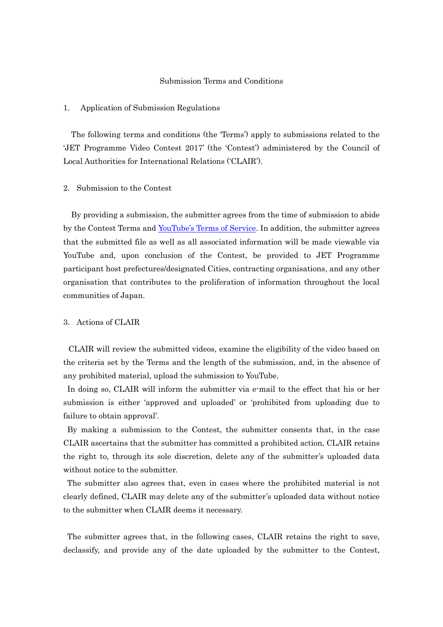#### Submission Terms and Conditions

#### 1. Application of Submission Regulations

The following terms and conditions (the 'Terms') apply to submissions related to the 'JET Programme Video Contest 2017' (the 'Contest') administered by the Council of Local Authorities for International Relations ('CLAIR').

#### 2. Submission to the Contest

By providing a submission, the submitter agrees from the time of submission to abide by the Contest Terms and <u>YouTube's Terms of Service</u>. In addition, the submitter agrees that the submitted file as well as all associated information will be made viewable via YouTube and, upon conclusion of the Contest, be provided to JET Programme participant host prefectures/designated Cities, contracting organisations, and any other organisation that contributes to the proliferation of information throughout the local communities of Japan.

#### 3. Actions of CLAIR

CLAIR will review the submitted videos, examine the eligibility of the video based on the criteria set by the Terms and the length of the submission, and, in the absence of any prohibited material, upload the submission to YouTube.

In doing so, CLAIR will inform the submitter via e-mail to the effect that his or her submission is either 'approved and uploaded' or 'prohibited from uploading due to failure to obtain approval'.

By making a submission to the Contest, the submitter consents that, in the case CLAIR ascertains that the submitter has committed a prohibited action, CLAIR retains the right to, through its sole discretion, delete any of the submitter's uploaded data without notice to the submitter.

The submitter also agrees that, even in cases where the prohibited material is not clearly defined, CLAIR may delete any of the submitter's uploaded data without notice to the submitter when CLAIR deems it necessary.

The submitter agrees that, in the following cases, CLAIR retains the right to save, declassify, and provide any of the date uploaded by the submitter to the Contest,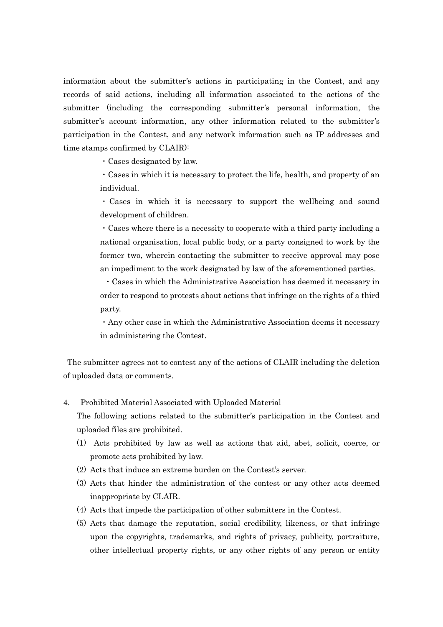information about the submitter's actions in participating in the Contest, and any records of said actions, including all information associated to the actions of the submitter (including the corresponding submitter's personal information, the submitter's account information, any other information related to the submitter's participation in the Contest, and any network information such as IP addresses and time stamps confirmed by CLAIR):

・Cases designated by law.

・Cases in which it is necessary to protect the life, health, and property of an individual.

・Cases in which it is necessary to support the wellbeing and sound development of children.

・Cases where there is a necessity to cooperate with a third party including a national organisation, local public body, or a party consigned to work by the former two, wherein contacting the submitter to receive approval may pose an impediment to the work designated by law of the aforementioned parties.

・Cases in which the Administrative Association has deemed it necessary in order to respond to protests about actions that infringe on the rights of a third party.

・Any other case in which the Administrative Association deems it necessary in administering the Contest.

The submitter agrees not to contest any of the actions of CLAIR including the deletion of uploaded data or comments.

4. Prohibited Material Associated with Uploaded Material

The following actions related to the submitter's participation in the Contest and uploaded files are prohibited.

- (1) Acts prohibited by law as well as actions that aid, abet, solicit, coerce, or promote acts prohibited by law.
- (2) Acts that induce an extreme burden on the Contest's server.
- (3) Acts that hinder the administration of the contest or any other acts deemed inappropriate by CLAIR.
- (4) Acts that impede the participation of other submitters in the Contest.
- (5) Acts that damage the reputation, social credibility, likeness, or that infringe upon the copyrights, trademarks, and rights of privacy, publicity, portraiture, other intellectual property rights, or any other rights of any person or entity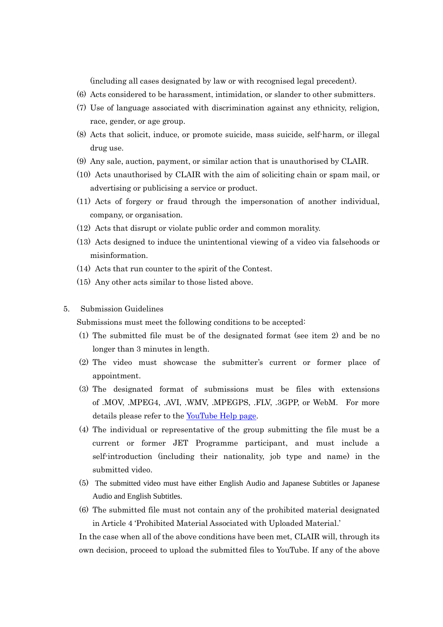(including all cases designated by law or with recognised legal precedent).

- (6) Acts considered to be harassment, intimidation, or slander to other submitters.
- (7) Use of language associated with discrimination against any ethnicity, religion, race, gender, or age group.
- (8) Acts that solicit, induce, or promote suicide, mass suicide, self-harm, or illegal drug use.
- (9) Any sale, auction, payment, or similar action that is unauthorised by CLAIR.
- (10) Acts unauthorised by CLAIR with the aim of soliciting chain or spam mail, or advertising or publicising a service or product.
- (11) Acts of forgery or fraud through the impersonation of another individual, company, or organisation.
- (12) Acts that disrupt or violate public order and common morality.
- (13) Acts designed to induce the unintentional viewing of a video via falsehoods or misinformation.
- (14) Acts that run counter to the spirit of the Contest.
- (15) Any other acts similar to those listed above.
- 5. Submission Guidelines

Submissions must meet the following conditions to be accepted:

- (1) The submitted file must be of the designated format (see item 2) and be no longer than 3 minutes in length.
- (2) The video must showcase the submitter's current or former place of appointment.
- (3) The designated format of submissions must be files with extensions of .MOV, .MPEG4, .AVI, .WMV, .MPEGPS, .FLV, .3GPP, or WebM. For more details please refer to the [YouTube Help page.](https://support.google.com/youtube/?hl=ja#topic=4355266)
- (4) The individual or representative of the group submitting the file must be a current or former JET Programme participant, and must include a self-introduction (including their nationality, job type and name) in the submitted video.
- (5) The submitted video must have either English Audio and Japanese Subtitles or Japanese Audio and English Subtitles.
- (6) The submitted file must not contain any of the prohibited material designated in Article 4 'Prohibited Material Associated with Uploaded Material.'

In the case when all of the above conditions have been met, CLAIR will, through its own decision, proceed to upload the submitted files to YouTube. If any of the above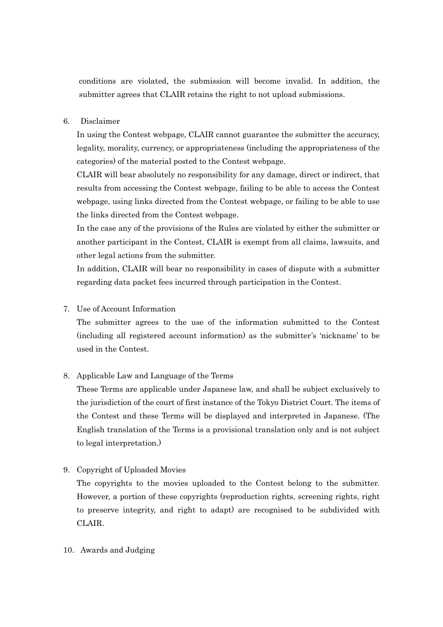conditions are violated, the submission will become invalid. In addition, the submitter agrees that CLAIR retains the right to not upload submissions.

### 6. Disclaimer

In using the Contest webpage, CLAIR cannot guarantee the submitter the accuracy, legality, morality, currency, or appropriateness (including the appropriateness of the categories) of the material posted to the Contest webpage.

CLAIR will bear absolutely no responsibility for any damage, direct or indirect, that results from accessing the Contest webpage, failing to be able to access the Contest webpage, using links directed from the Contest webpage, or failing to be able to use the links directed from the Contest webpage.

In the case any of the provisions of the Rules are violated by either the submitter or another participant in the Contest, CLAIR is exempt from all claims, lawsuits, and other legal actions from the submitter.

In addition, CLAIR will bear no responsibility in cases of dispute with a submitter regarding data packet fees incurred through participation in the Contest.

7. Use of Account Information

The submitter agrees to the use of the information submitted to the Contest (including all registered account information) as the submitter's 'nickname' to be used in the Contest.

# 8. Applicable Law and Language of the Terms

These Terms are applicable under Japanese law, and shall be subject exclusively to the jurisdiction of the court of first instance of the Tokyo District Court. The items of the Contest and these Terms will be displayed and interpreted in Japanese. (The English translation of the Terms is a provisional translation only and is not subject to legal interpretation.)

9. Copyright of Uploaded Movies

The copyrights to the movies uploaded to the Contest belong to the submitter. However, a portion of these copyrights (reproduction rights, screening rights, right to preserve integrity, and right to adapt) are recognised to be subdivided with CLAIR.

10. Awards and Judging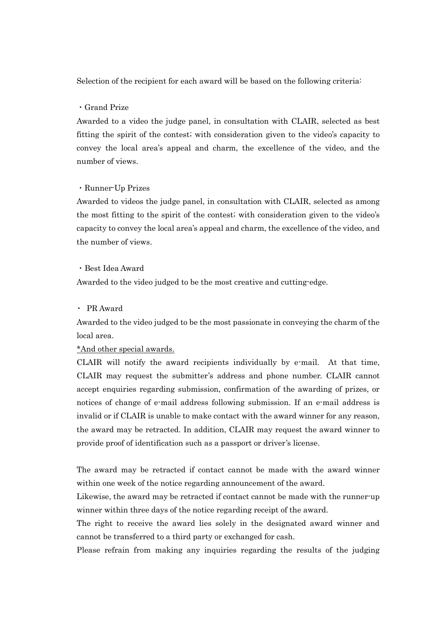Selection of the recipient for each award will be based on the following criteria:

### ・Grand Prize

Awarded to a video the judge panel, in consultation with CLAIR, selected as best fitting the spirit of the contest; with consideration given to the video's capacity to convey the local area's appeal and charm, the excellence of the video, and the number of views.

# ・Runner-Up Prizes

Awarded to videos the judge panel, in consultation with CLAIR, selected as among the most fitting to the spirit of the contest; with consideration given to the video's capacity to convey the local area's appeal and charm, the excellence of the video, and the number of views.

## ・Best Idea Award

Awarded to the video judged to be the most creative and cutting-edge.

## ・ PR Award

Awarded to the video judged to be the most passionate in conveying the charm of the local area.

### \*And other special awards.

CLAIR will notify the award recipients individually by e-mail. At that time, CLAIR may request the submitter's address and phone number. CLAIR cannot accept enquiries regarding submission, confirmation of the awarding of prizes, or notices of change of e-mail address following submission. If an e-mail address is invalid or if CLAIR is unable to make contact with the award winner for any reason, the award may be retracted. In addition, CLAIR may request the award winner to provide proof of identification such as a passport or driver's license.

The award may be retracted if contact cannot be made with the award winner within one week of the notice regarding announcement of the award.

Likewise, the award may be retracted if contact cannot be made with the runner-up winner within three days of the notice regarding receipt of the award.

The right to receive the award lies solely in the designated award winner and cannot be transferred to a third party or exchanged for cash.

Please refrain from making any inquiries regarding the results of the judging